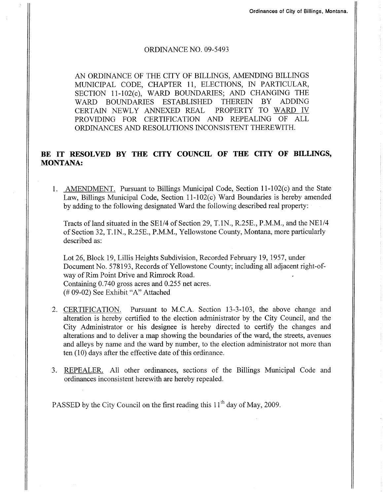## ORDINANCE NO. 09-5493

AN ORDINANCE OF THE CITY OF BILLINGS, AMENDING BILLINGS MUNICIPAL CODE, CHAPTER 11, ELECTIONS, IN PARTICULAR, SECTION 11-102(c), WARD BOUNDARIES; AND CHANGING THE WARD BOUNDARIES ESTABLISHED THEREIN BY ADDING<br>CERTAIN NEWLY ANNEXED REAL PROPERTY TO WARD IV CERTAIN NEWLY ANNEXED REAL PROVIDING FOR CERTIFICATION AND REPEALING OF ALL ORDINANCES AND RESOLUTIONS INCONSISTENT THEREWITH.

## BE IT RESOLVED BY THE CITY COUNCIL OF THE CITY OF BILLINGS, MONTANA:

1. AMENDMENT. Pursuant to Billings Municipal Code, Section 11-102(c) and the State Law, Billings Municipal Code, Section 1l-102(c) Ward Boundaries is hereby amended by adding to the following designated Ward the following described real property:

Tracts of land situated in the SEl/4 of Section 29, T.1N., R.25E., P.M.M., and the NE1/4 of Section 32, T.1N., R.25E., P.M.M., Yellowstone County, Montana, more particularly described as:

Lot 26, Block 19, Lillis Heights Subdivision, Recorded February 19, 1957, under Document No. 578193, Records of Yellowstone County; including all adjacent right-ofway of Rim Point Drive and Rimrock Road. Containing 0.740 gross acres and 0.255 net acres. (# 09-02) See Exhibit "A" Attached

- 2. CERTIFICATION. Pursuant to M.C.A. Section 13-3-103, the above change and alteration is hereby certifred to the election administrator by the City Council, and the City Administrator or his designee is hereby directed to certify the changes and alterations and to deliver a map showing the boundaries of the ward, the streets, avenues and alleys by name and the ward by number, to the election administrator not more than ten (10) days after the effective date of this ordinance.
- 3. REPEALER. All other ordinances, sections of the Billings Municipal Code and ordinances inconsistent herewith are hereby repealed.

PASSED by the City Council on the first reading this  $11<sup>th</sup>$  day of May, 2009.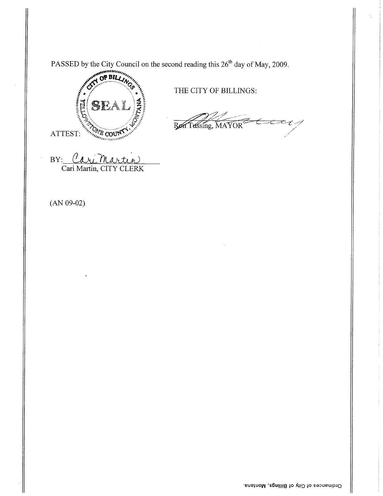PASSED by the City Council on the second reading this 26<sup>th</sup> day of May, 2009.



THE CITY OF BILLINGS:

 $\epsilon$ u Ren Tussing, MAYOR

BY: Cari Martin

 $(AN 09-02)$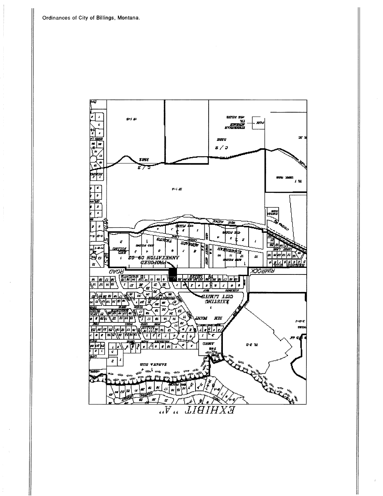